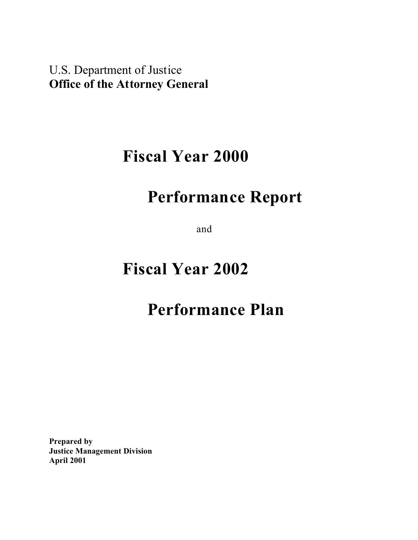U.S. Department of Justice **Office of the Attorney General**

## **Fiscal Year 2000**

## **Performance Report**

and

# **Fiscal Year 2002**

## **Performance Plan**

**Prepared by Justice Management Division April 2001**